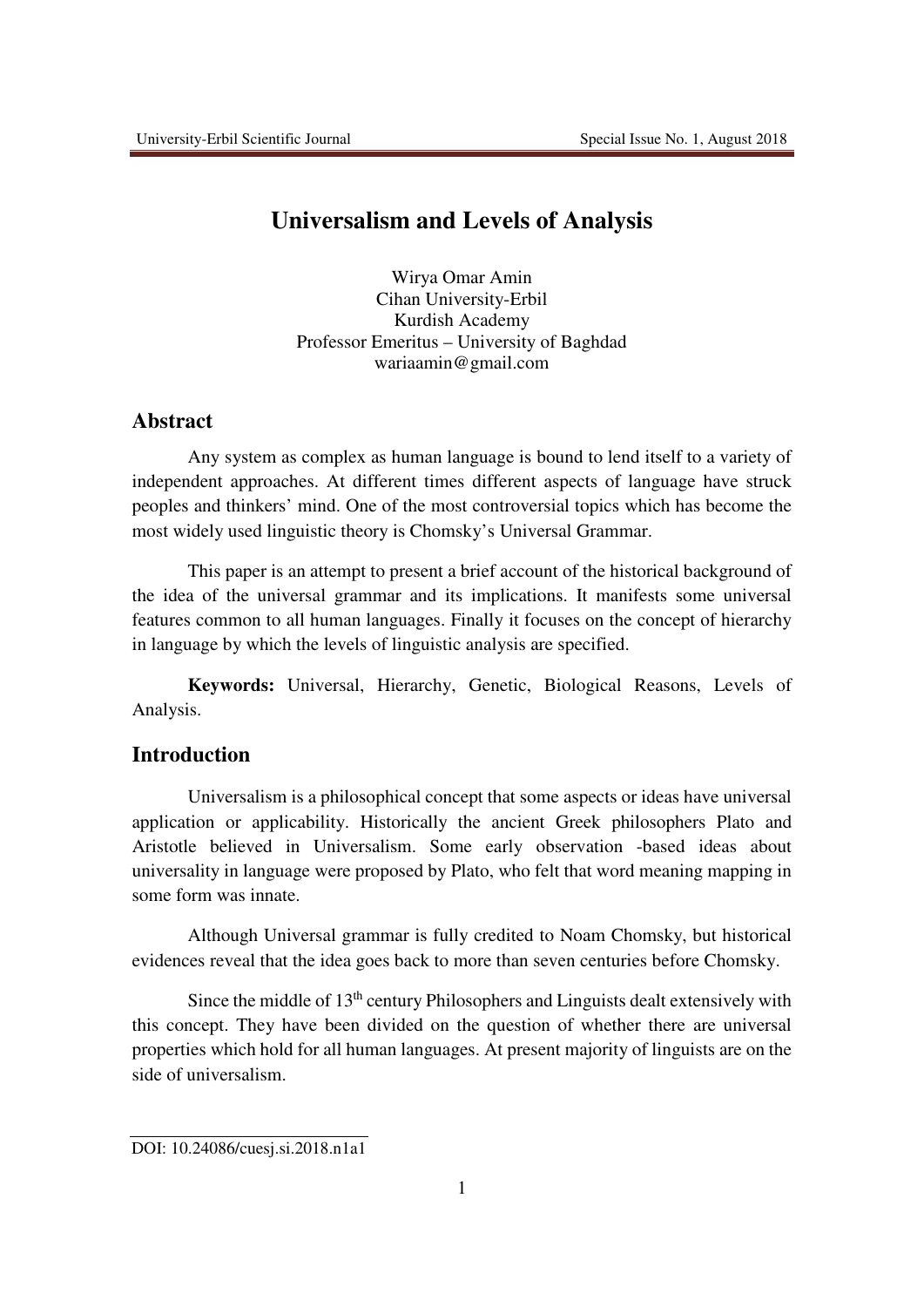# **Universalism and Levels of Analysis**

Wirya Omar Amin Cihan University-Erbil Kurdish Academy Professor Emeritus – University of Baghdad wariaamin@gmail.com

# **Abstract**

Any system as complex as human language is bound to lend itself to a variety of independent approaches. At different times different aspects of language have struck peoples and thinkers' mind. One of the most controversial topics which has become the most widely used linguistic theory is Chomsky's Universal Grammar.

This paper is an attempt to present a brief account of the historical background of the idea of the universal grammar and its implications. It manifests some universal features common to all human languages. Finally it focuses on the concept of hierarchy in language by which the levels of linguistic analysis are specified.

**Keywords:** Universal, Hierarchy, Genetic, Biological Reasons, Levels of Analysis.

### **Introduction**

Universalism is a philosophical concept that some aspects or ideas have universal application or applicability. Historically the ancient Greek philosophers Plato and Aristotle believed in Universalism. Some early observation -based ideas about universality in language were proposed by Plato, who felt that word meaning mapping in some form was innate.

Although Universal grammar is fully credited to Noam Chomsky, but historical evidences reveal that the idea goes back to more than seven centuries before Chomsky.

Since the middle of 13th century Philosophers and Linguists dealt extensively with this concept. They have been divided on the question of whether there are universal properties which hold for all human languages. At present majority of linguists are on the side of universalism.

DOI: 10.24086/cuesj.si.2018.n1a1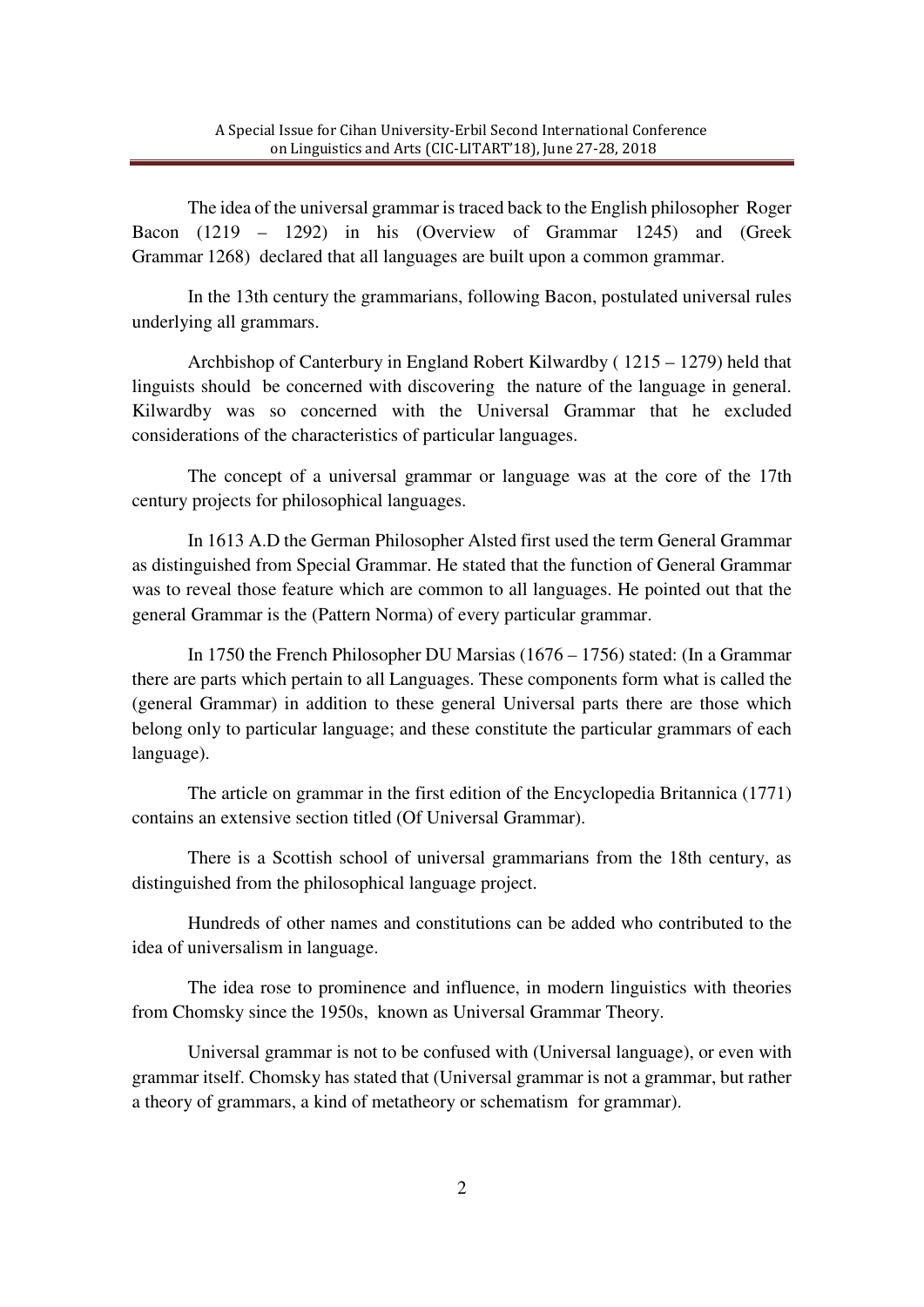The idea of the universal grammar is traced back to the English philosopher Roger Bacon (1219 – 1292) in his (Overview of Grammar 1245) and (Greek Grammar 1268) declared that all languages are built upon a common grammar.

In the 13th century the grammarians, following Bacon, postulated universal rules underlying all grammars.

Archbishop of Canterbury in England Robert Kilwardby ( 1215 – 1279) held that linguists should be concerned with discovering the nature of the language in general. Kilwardby was so concerned with the Universal Grammar that he excluded considerations of the characteristics of particular languages.

The concept of a universal grammar or language was at the core of the 17th century projects for philosophical languages.

In 1613 A.D the German Philosopher Alsted first used the term General Grammar as distinguished from Special Grammar. He stated that the function of General Grammar was to reveal those feature which are common to all languages. He pointed out that the general Grammar is the (Pattern Norma) of every particular grammar.

In 1750 the French Philosopher DU Marsias (1676 – 1756) stated: (In a Grammar there are parts which pertain to all Languages. These components form what is called the (general Grammar) in addition to these general Universal parts there are those which belong only to particular language; and these constitute the particular grammars of each language).

The article on grammar in the first edition of the Encyclopedia Britannica (1771) contains an extensive section titled (Of Universal Grammar).

There is a Scottish school of universal grammarians from the 18th century, as distinguished from the philosophical language project.

Hundreds of other names and constitutions can be added who contributed to the idea of universalism in language.

The idea rose to prominence and influence, in modern linguistics with theories from Chomsky since the 1950s, known as Universal Grammar Theory.

Universal grammar is not to be confused with (Universal language), or even with grammar itself. Chomsky has stated that (Universal grammar is not a grammar, but rather a theory of grammars, a kind of metatheory or schematism for grammar).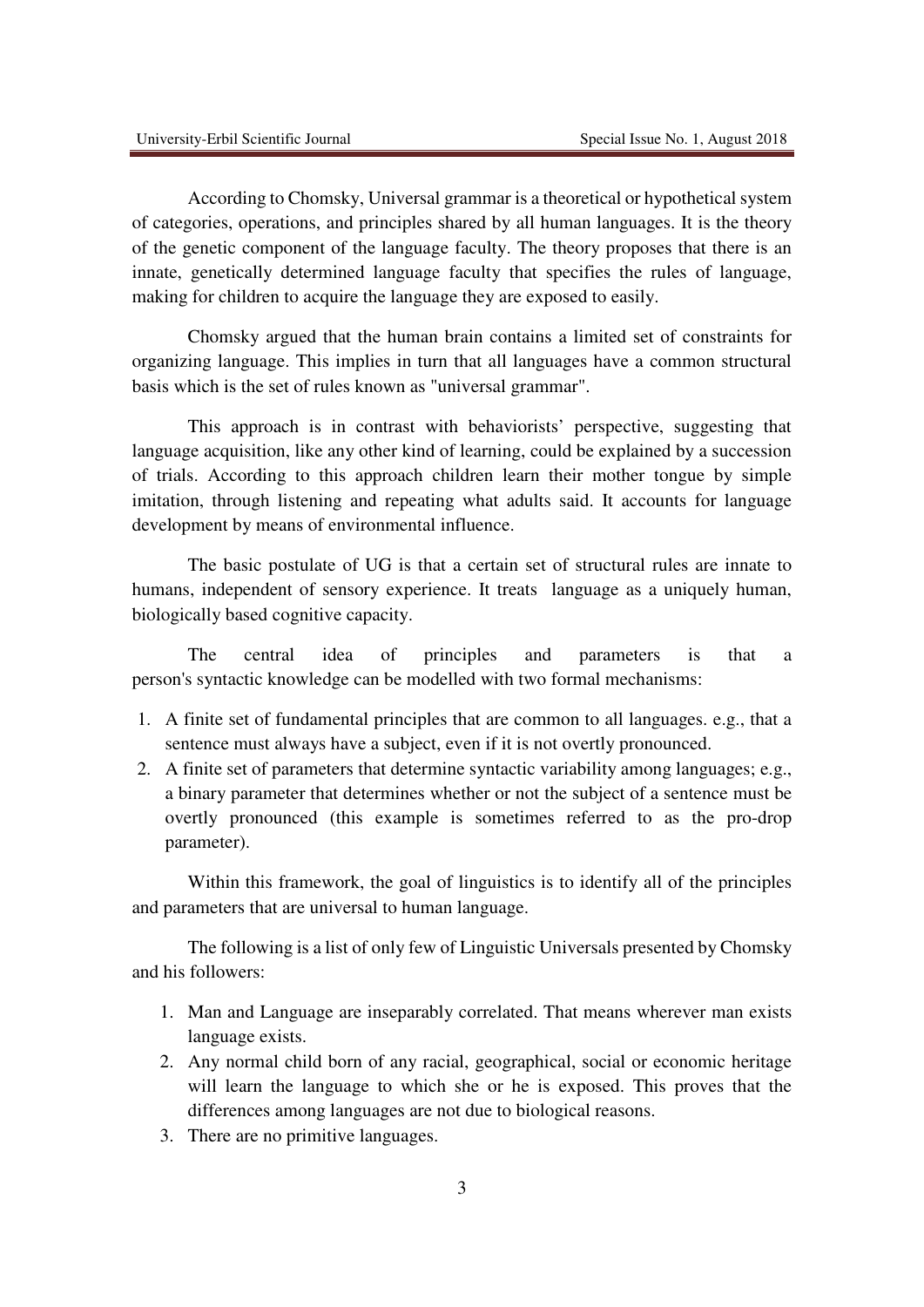According to Chomsky, Universal grammar is a theoretical or hypothetical system of categories, operations, and principles shared by all human languages. It is the theory of the genetic component of the language faculty. The theory proposes that there is an innate, genetically determined language faculty that specifies the rules of language, making for children to acquire the language they are exposed to easily.

Chomsky argued that the human brain contains a limited set of constraints for organizing language. This implies in turn that all languages have a common structural basis which is the set of rules known as "universal grammar".

This approach is in contrast with behaviorists' perspective, suggesting that language acquisition, like any other kind of learning, could be explained by a succession of trials. According to this approach children learn their mother tongue by simple imitation, through listening and repeating what adults said. It accounts for language development by means of environmental influence.

The basic postulate of UG is that a certain set of structural rules are innate to humans, independent of sensory experience. It treats language as a uniquely human, biologically based cognitive capacity.

The central idea of principles and parameters is that a person's syntactic knowledge can be modelled with two formal mechanisms:

- 1. A finite set of fundamental principles that are common to all languages. e.g., that a sentence must always have a subject, even if it is not overtly pronounced.
- 2. A finite set of parameters that determine syntactic variability among languages; e.g., a binary parameter that determines whether or not the subject of a sentence must be overtly pronounced (this example is sometimes referred to as the pro-drop parameter).

Within this framework, the goal of linguistics is to identify all of the principles and parameters that are universal to human language.

The following is a list of only few of Linguistic Universals presented by Chomsky and his followers:

- 1. Man and Language are inseparably correlated. That means wherever man exists language exists.
- 2. Any normal child born of any racial, geographical, social or economic heritage will learn the language to which she or he is exposed. This proves that the differences among languages are not due to biological reasons.
- 3. There are no primitive languages.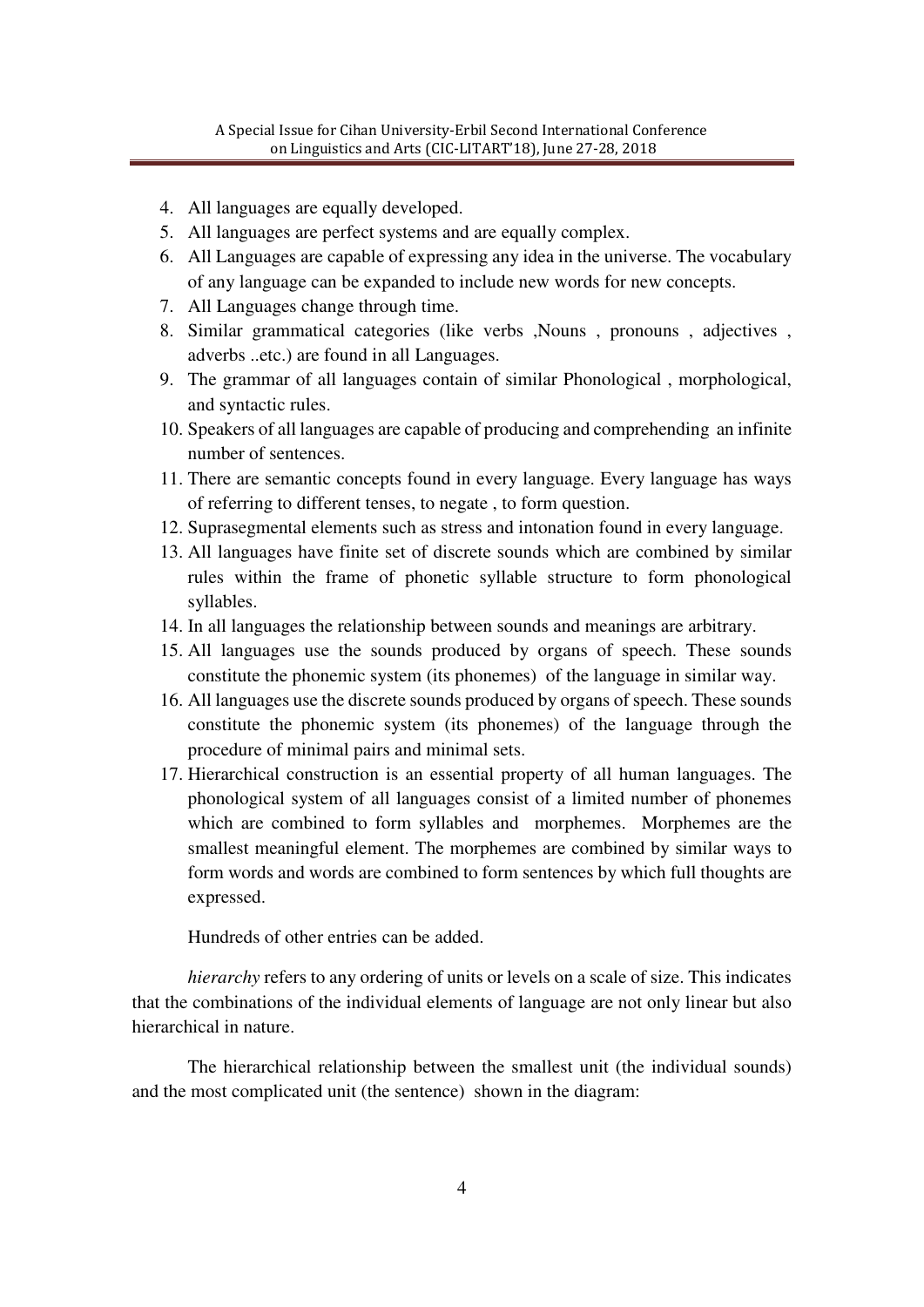- 4. All languages are equally developed.
- 5. All languages are perfect systems and are equally complex.
- 6. All Languages are capable of expressing any idea in the universe. The vocabulary of any language can be expanded to include new words for new concepts.
- 7. All Languages change through time.
- 8. Similar grammatical categories (like verbs , Nouns , pronouns , adjectives , adverbs ..etc.) are found in all Languages.
- 9. The grammar of all languages contain of similar Phonological , morphological, and syntactic rules.
- 10. Speakers of all languages are capable of producing and comprehending an infinite number of sentences.
- 11. There are semantic concepts found in every language. Every language has ways of referring to different tenses, to negate , to form question.
- 12. Suprasegmental elements such as stress and intonation found in every language.
- 13. All languages have finite set of discrete sounds which are combined by similar rules within the frame of phonetic syllable structure to form phonological syllables.
- 14. In all languages the relationship between sounds and meanings are arbitrary.
- 15. All languages use the sounds produced by organs of speech. These sounds constitute the phonemic system (its phonemes) of the language in similar way.
- 16. All languages use the discrete sounds produced by organs of speech. These sounds constitute the phonemic system (its phonemes) of the language through the procedure of minimal pairs and minimal sets.
- 17. Hierarchical construction is an essential property of all human languages. The phonological system of all languages consist of a limited number of phonemes which are combined to form syllables and morphemes. Morphemes are the smallest meaningful element. The morphemes are combined by similar ways to form words and words are combined to form sentences by which full thoughts are expressed.

Hundreds of other entries can be added.

*hierarchy* refers to any ordering of units or levels on a scale of size. This indicates that the combinations of the individual elements of language are not only linear but also hierarchical in nature.

The hierarchical relationship between the smallest unit (the individual sounds) and the most complicated unit (the sentence) shown in the diagram: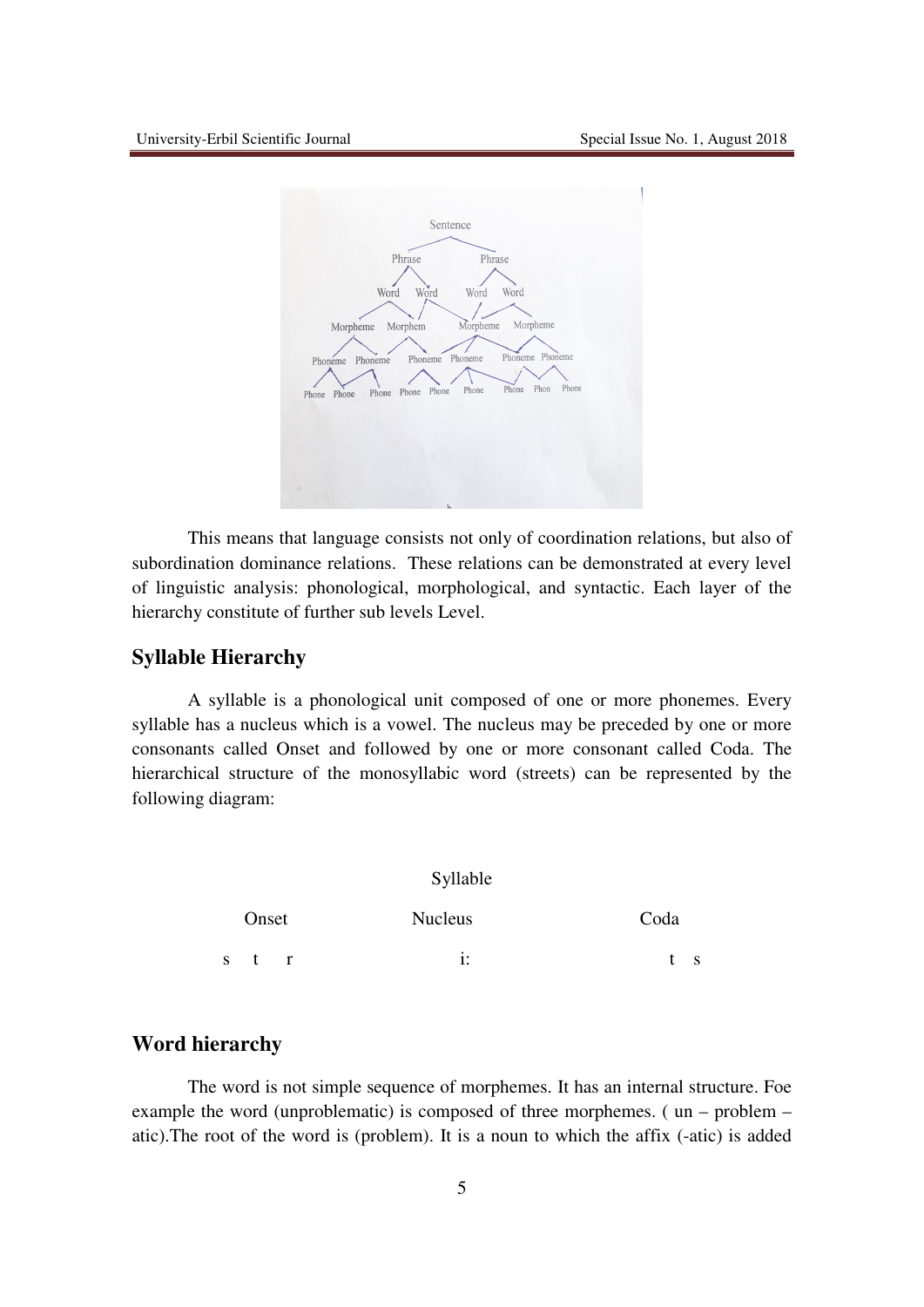

This means that language consists not only of coordination relations, but also of subordination dominance relations. These relations can be demonstrated at every level of linguistic analysis: phonological, morphological, and syntactic. Each layer of the hierarchy constitute of further sub levels Level.

### **Syllable Hierarchy**

A syllable is a phonological unit composed of one or more phonemes. Every syllable has a nucleus which is a vowel. The nucleus may be preceded by one or more consonants called Onset and followed by one or more consonant called Coda. The hierarchical structure of the monosyllabic word (streets) can be represented by the following diagram:

|    | Onset |              | <b>Nucleus</b> | Coda |
|----|-------|--------------|----------------|------|
| -S | t     | $\mathbf{r}$ | ٠<br>1:        | S.   |

## **Word hierarchy**

The word is not simple sequence of morphemes. It has an internal structure. Foe example the word (unproblematic) is composed of three morphemes. ( un – problem – atic).The root of the word is (problem). It is a noun to which the affix (-atic) is added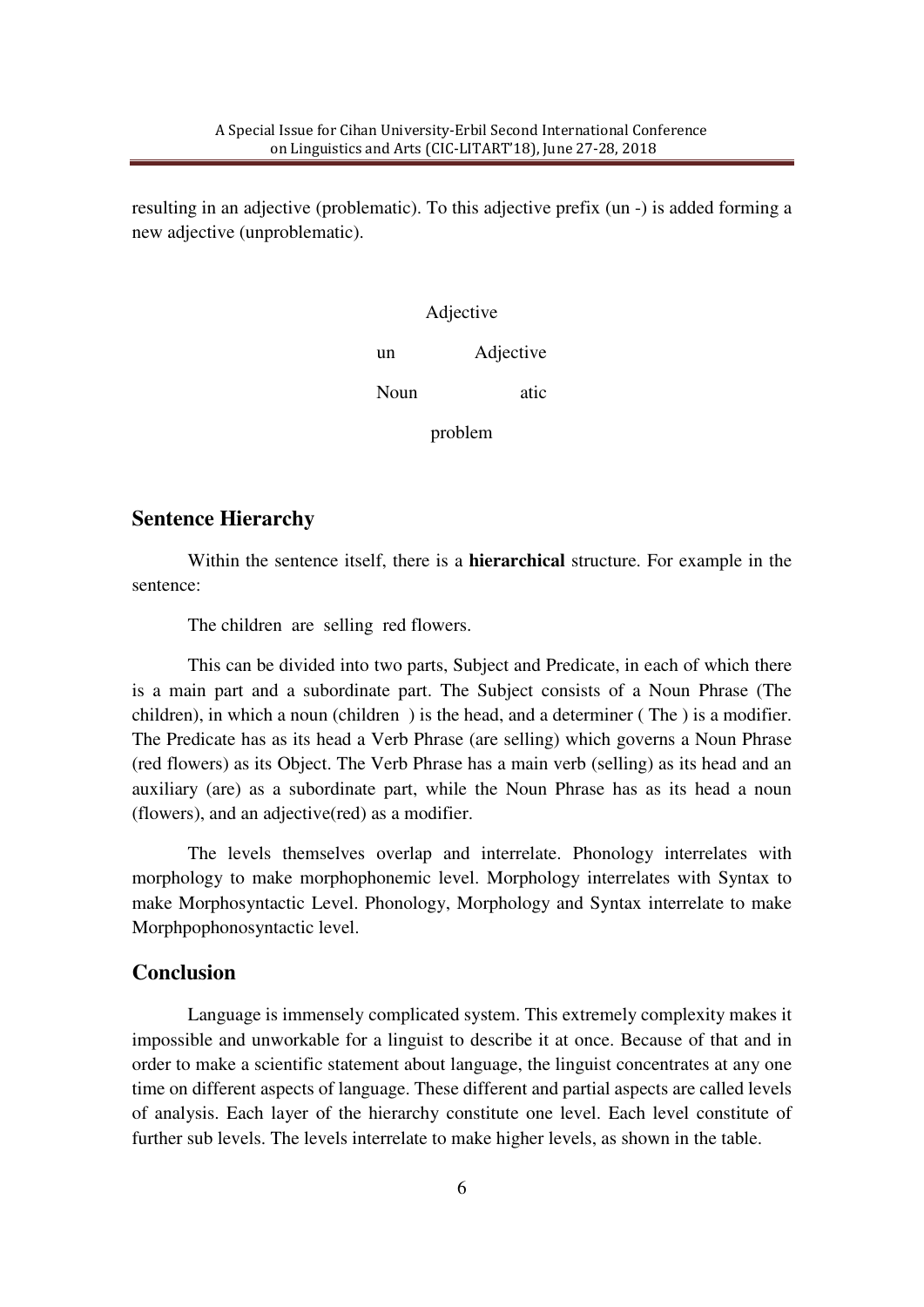resulting in an adjective (problematic). To this adjective prefix (un -) is added forming a new adjective (unproblematic).

| Adjective |           |  |  |  |  |
|-----------|-----------|--|--|--|--|
| un        | Adjective |  |  |  |  |
| Noun      | atic      |  |  |  |  |

problem

#### **Sentence Hierarchy**

Within the sentence itself, there is a **hierarchical** structure. For example in the sentence:

The children are selling red flowers.

This can be divided into two parts, Subject and Predicate, in each of which there is a main part and a subordinate part. The Subject consists of a Noun Phrase (The children), in which a noun (children ) is the head, and a determiner ( The ) is a modifier. The Predicate has as its head a Verb Phrase (are selling) which governs a Noun Phrase (red flowers) as its Object. The Verb Phrase has a main verb (selling) as its head and an auxiliary (are) as a subordinate part, while the Noun Phrase has as its head a noun (flowers), and an adjective(red) as a modifier.

The levels themselves overlap and interrelate. Phonology interrelates with morphology to make morphophonemic level. Morphology interrelates with Syntax to make Morphosyntactic Level. Phonology, Morphology and Syntax interrelate to make Morphpophonosyntactic level.

#### **Conclusion**

Language is immensely complicated system. This extremely complexity makes it impossible and unworkable for a linguist to describe it at once. Because of that and in order to make a scientific statement about language, the linguist concentrates at any one time on different aspects of language. These different and partial aspects are called levels of analysis. Each layer of the hierarchy constitute one level. Each level constitute of further sub levels. The levels interrelate to make higher levels, as shown in the table.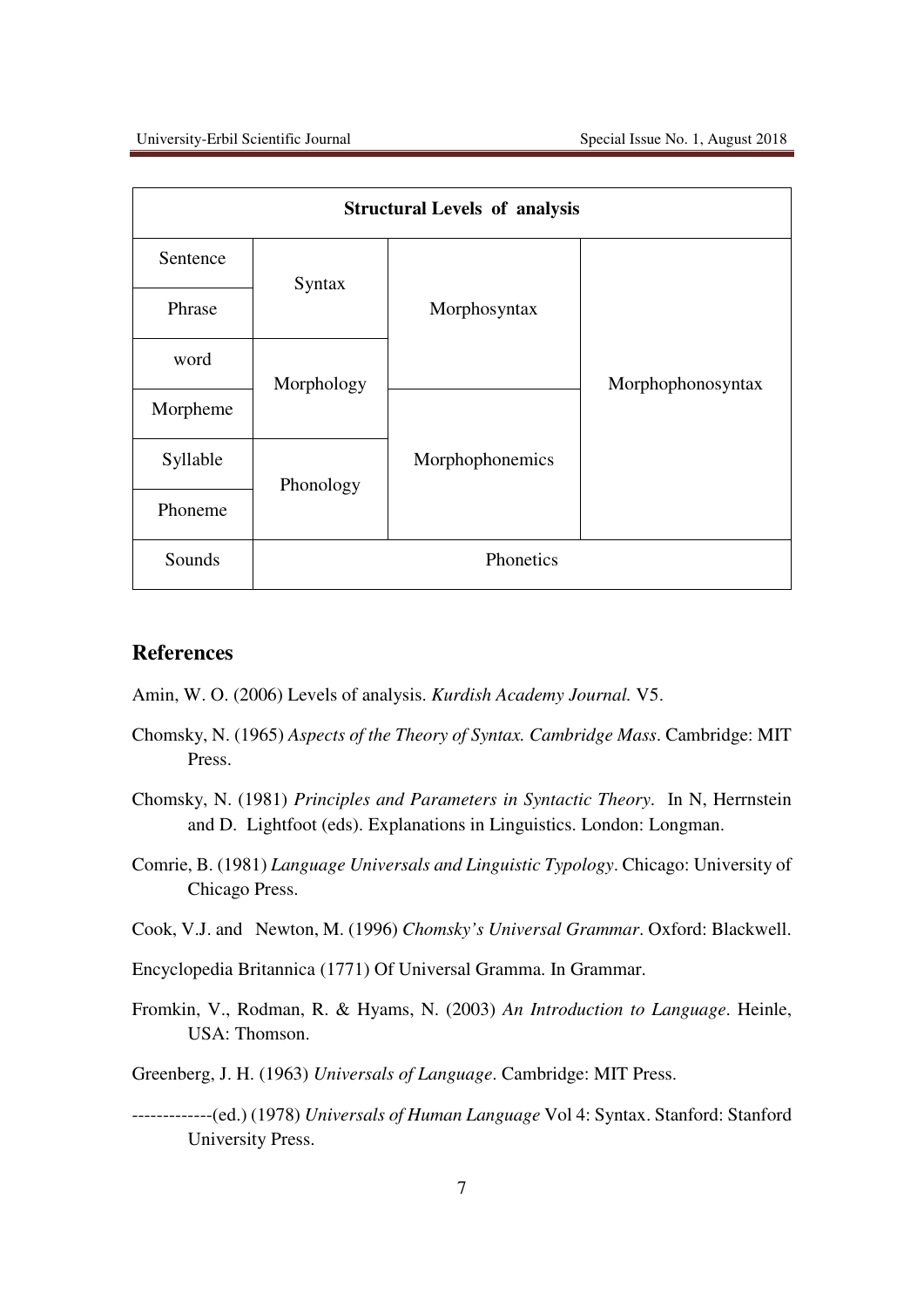| <b>Structural Levels of analysis</b> |            |                 |                   |  |  |  |  |
|--------------------------------------|------------|-----------------|-------------------|--|--|--|--|
| Sentence                             | Syntax     | Morphosyntax    | Morphophonosyntax |  |  |  |  |
| Phrase                               |            |                 |                   |  |  |  |  |
| word                                 | Morphology |                 |                   |  |  |  |  |
| Morpheme                             |            |                 |                   |  |  |  |  |
| Syllable                             | Phonology  | Morphophonemics |                   |  |  |  |  |
| Phoneme                              |            |                 |                   |  |  |  |  |
| Sounds                               |            | Phonetics       |                   |  |  |  |  |

### **References**

- Amin, W. O. (2006) Levels of analysis. *Kurdish Academy Journal.* V5.
- Chomsky, N. (1965) *Aspects of the Theory of Syntax. Cambridge Mass*. Cambridge: MIT Press.
- Chomsky, N. (1981) *Principles and Parameters in Syntactic Theory*. In N, Herrnstein and D. Lightfoot (eds). Explanations in Linguistics. London: Longman.
- Comrie, B. (1981) *Language Universals and Linguistic Typology*. Chicago: University of Chicago Press.
- Cook, V.J. and Newton, M. (1996) *Chomsky's Universal Grammar*. Oxford: Blackwell.
- Encyclopedia Britannica (1771) Of Universal Gramma. In Grammar.
- Fromkin, V., Rodman, R. & Hyams, N. (2003) *An Introduction to Language*. Heinle, USA: Thomson.
- Greenberg, J. H. (1963) *Universals of Language*. Cambridge: MIT Press.
- -------------(ed.) (1978) *Universals of Human Language* Vol 4: Syntax. Stanford: Stanford University Press.